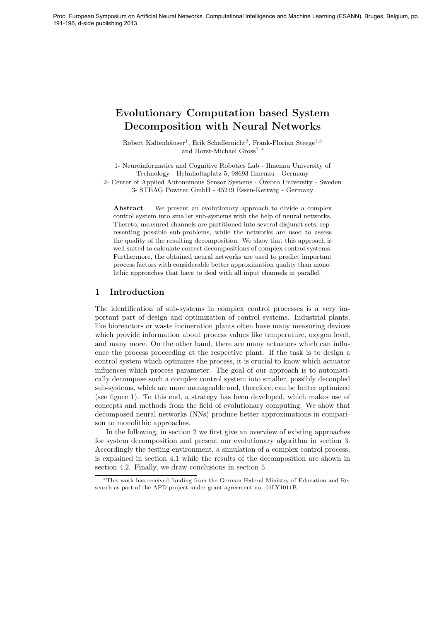# Evolutionary Computation based System Decomposition with Neural Networks

Robert Kaltenhäuser<sup>1</sup>, Erik Schaffernicht<sup>2</sup>, Frank-Florian Steege<sup>1,3</sup> and Horst-Michael Gross<sup>1</sup><sup>∗</sup>

1- Neuroinformatics and Cognitive Robotics Lab - Ilmenau University of Technology - Helmholtzplatz 5, 98693 Ilmenau - Germany

2- Center of Applied Autonomous Sensor Systems - Orebro University - Sweden ¨ 3- STEAG Powitec GmbH - 45219 Essen-Kettwig - Germany

Abstract. We present an evolutionary approach to divide a complex control system into smaller sub-systems with the help of neural networks. Thereto, measured channels are partitioned into several disjunct sets, representing possible sub-problems, while the networks are used to assess the quality of the resulting decomposition. We show that this approach is well suited to calculate correct decompositions of complex control systems. Furthermore, the obtained neural networks are used to predict important process factors with considerable better approximation quality than monolithic approaches that have to deal with all input channels in parallel.

# 1 Introduction

The identification of sub-systems in complex control processes is a very important part of design and optimization of control systems. Industrial plants, like bioreactors or waste incineration plants often have many measuring devices which provide information about process values like temperature, oxygen level, and many more. On the other hand, there are many actuators which can influence the process proceeding at the respective plant. If the task is to design a control system which optimizes the process, it is crucial to know which actuator influences which process parameter. The goal of our approach is to automatically decompose such a complex control system into smaller, possibly decoupled sub-systems, which are more manageable and, therefore, can be better optimized (see figure 1). To this end, a strategy has been developed, which makes use of concepts and methods from the field of evolutionary computing. We show that decomposed neural networks (NNs) produce better approximations in comparison to monolithic approaches.

In the following, in section 2 we first give an overview of existing approaches for system decomposition and present our evolutionary algorithm in section 3. Accordingly the testing environment, a simulation of a complex control process, is explained in section 4.1 while the results of the decomposition are shown in section 4.2. Finally, we draw conclusions in section 5.

<sup>∗</sup>This work has received funding from the German Federal Ministry of Education and Research as part of the APD project under grant agreement no. 01LY1011B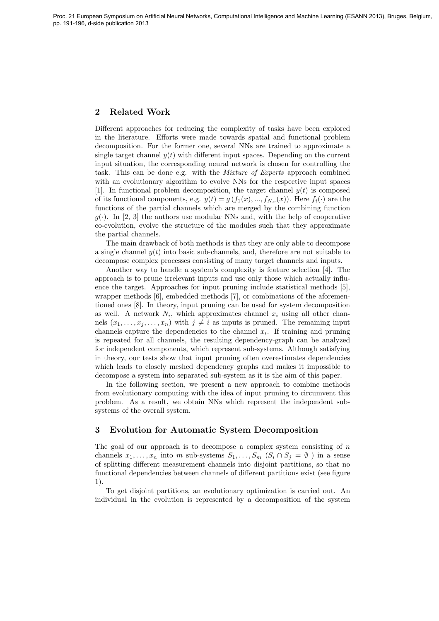# 2 Related Work

Different approaches for reducing the complexity of tasks have been explored in the literature. Efforts were made towards spatial and functional problem decomposition. For the former one, several NNs are trained to approximate a single target channel  $y(t)$  with different input spaces. Depending on the current input situation, the corresponding neural network is chosen for controlling the task. This can be done e.g. with the *Mixture of Experts* approach combined with an evolutionary algorithm to evolve NNs for the respective input spaces [1]. In functional problem decomposition, the target channel  $y(t)$  is composed of its functional components, e.g.  $y(t) = g(f_1(x),..., f_{N_P}(x))$ . Here  $f_i(\cdot)$  are the functions of the partial channels which are merged by the combining function  $g(\cdot)$ . In [2, 3] the authors use modular NNs and, with the help of cooperative co-evolution, evolve the structure of the modules such that they approximate the partial channels.

The main drawback of both methods is that they are only able to decompose a single channel  $y(t)$  into basic sub-channels, and, therefore are not suitable to decompose complex processes consisting of many target channels and inputs.

Another way to handle a system's complexity is feature selection [4]. The approach is to prune irrelevant inputs and use only those which actually influence the target. Approaches for input pruning include statistical methods [5], wrapper methods [6], embedded methods [7], or combinations of the aforementioned ones [8]. In theory, input pruning can be used for system decomposition as well. A network  $N_i$ , which approximates channel  $x_i$  using all other channels  $(x_1, \ldots, x_i, \ldots, x_n)$  with  $j \neq i$  as inputs is pruned. The remaining input channels capture the dependencies to the channel  $x_i$ . If training and pruning is repeated for all channels, the resulting dependency-graph can be analyzed for independent components, which represent sub-systems. Although satisfying in theory, our tests show that input pruning often overestimates dependencies which leads to closely meshed dependency graphs and makes it impossible to decompose a system into separated sub-system as it is the aim of this paper.

In the following section, we present a new approach to combine methods from evolutionary computing with the idea of input pruning to circumvent this problem. As a result, we obtain NNs which represent the independent subsystems of the overall system.

## 3 Evolution for Automatic System Decomposition

The goal of our approach is to decompose a complex system consisting of  $n$ channels  $x_1, \ldots, x_n$  into m sub-systems  $S_1, \ldots, S_m$   $(S_i \cap S_j = \emptyset)$  in a sense of splitting different measurement channels into disjoint partitions, so that no functional dependencies between channels of different partitions exist (see figure 1).

To get disjoint partitions, an evolutionary optimization is carried out. An individual in the evolution is represented by a decomposition of the system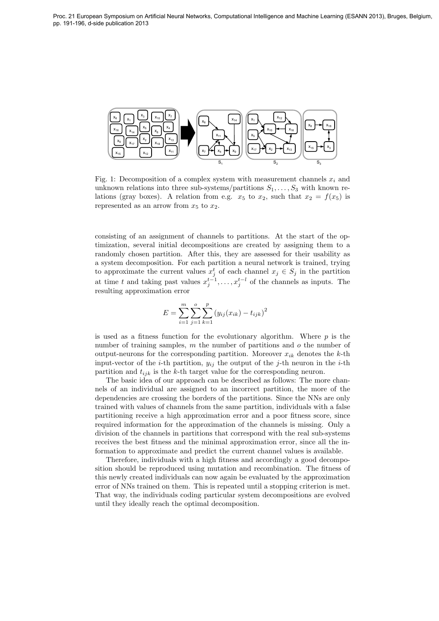

Fig. 1: Decomposition of a complex system with measurement channels  $x_i$  and unknown relations into three sub-systems/partitions  $S_1, \ldots, S_3$  with known relations (gray boxes). A relation from e.g.  $x_5$  to  $x_2$ , such that  $x_2 = f(x_5)$  is represented as an arrow from  $x_5$  to  $x_2$ .

consisting of an assignment of channels to partitions. At the start of the optimization, several initial decompositions are created by assigning them to a randomly chosen partition. After this, they are assessed for their usability as a system decomposition. For each partition a neural network is trained, trying to approximate the current values  $x_j^t$  of each channel  $x_j \in S_j$  in the partition at time t and taking past values  $x_j^{t-1}, \ldots, x_j^{t-l}$  of the channels as inputs. The resulting approximation error

$$
E = \sum_{i=1}^{m} \sum_{j=1}^{o} \sum_{k=1}^{p} (y_{ij}(x_{ik}) - t_{ijk})^{2}
$$

is used as a fitness function for the evolutionary algorithm. Where  $p$  is the number of training samples,  $m$  the number of partitions and  $o$  the number of output-neurons for the corresponding partition. Moreover  $x_{ik}$  denotes the k-th input-vector of the *i*-th partition,  $y_{ij}$  the output of the *j*-th neuron in the *i*-th partition and  $t_{ijk}$  is the k-th target value for the corresponding neuron.

The basic idea of our approach can be described as follows: The more channels of an individual are assigned to an incorrect partition, the more of the dependencies are crossing the borders of the partitions. Since the NNs are only trained with values of channels from the same partition, individuals with a false partitioning receive a high approximation error and a poor fitness score, since required information for the approximation of the channels is missing. Only a division of the channels in partitions that correspond with the real sub-systems receives the best fitness and the minimal approximation error, since all the information to approximate and predict the current channel values is available.

Therefore, individuals with a high fitness and accordingly a good decomposition should be reproduced using mutation and recombination. The fitness of this newly created individuals can now again be evaluated by the approximation error of NNs trained on them. This is repeated until a stopping criterion is met. That way, the individuals coding particular system decompositions are evolved until they ideally reach the optimal decomposition.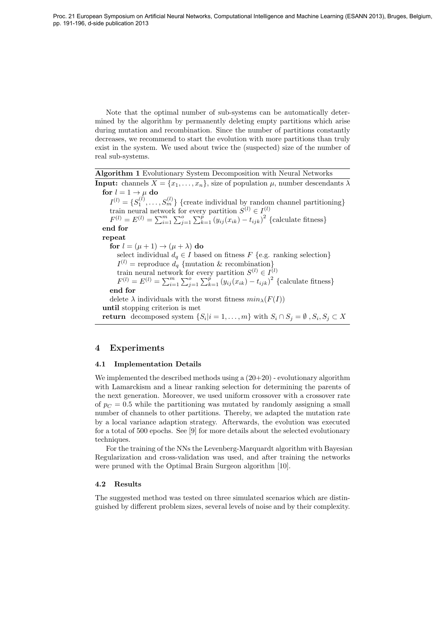Note that the optimal number of sub-systems can be automatically determined by the algorithm by permanently deleting empty partitions which arise during mutation and recombination. Since the number of partitions constantly decreases, we recommend to start the evolution with more partitions than truly exist in the system. We used about twice the (suspected) size of the number of real sub-systems.

| <b>Algorithm 1</b> Evolutionary System Decomposition with Neural Networks                                           |
|---------------------------------------------------------------------------------------------------------------------|
| <b>Input:</b> channels $X = \{x_1, \ldots, x_n\}$ , size of population $\mu$ , number descendants $\lambda$         |
| for $l = 1 \rightarrow \mu$ do                                                                                      |
| $I^{(l)} = \{S_1^{(l)}, \ldots, S_m^{(l)}\}\$ {create individual by random channel partitioning}                    |
| train neural network for every partition $S^{(l)} \in I^{(l)}$                                                      |
| $F^{(l)} = E^{(l)} = \sum_{i=1}^{m} \sum_{j=1}^{o} \sum_{k=1}^{p} (y_{ij}(x_{ik}) - t_{ijk})^2$ {calculate fitness} |
| end for                                                                                                             |
| repeat                                                                                                              |
| for $l = (\mu + 1) \rightarrow (\mu + \lambda)$ do                                                                  |
| select individual $d_q \in I$ based on fitness F {e.g. ranking selection}                                           |
| $I^{(l)}$ = reproduce $d_q$ {mutation & recombination}                                                              |
| train neural network for every partition $S^{(l)} \in I^{(l)}$                                                      |
| $F^{(l)} = E^{(l)} = \sum_{i=1}^{m} \sum_{j=1}^{o} \sum_{k=1}^{p} (y_{ij}(x_{ik}) - t_{ijk})^2$ {calculate fitness} |
| end for                                                                                                             |
| delete $\lambda$ individuals with the worst fitness $min_{\lambda}(F(I))$                                           |
| until stopping criterion is met                                                                                     |
| <b>return</b> decomposed system $\{S_i   i = 1, , m\}$ with $S_i \cap S_j = \emptyset$ , $S_i, S_j \subset X$       |

## 4 Experiments

#### 4.1 Implementation Details

We implemented the described methods using a  $(20+20)$  - evolutionary algorithm with Lamarckism and a linear ranking selection for determining the parents of the next generation. Moreover, we used uniform crossover with a crossover rate of  $p_C = 0.5$  while the partitioning was mutated by randomly assigning a small number of channels to other partitions. Thereby, we adapted the mutation rate by a local variance adaption strategy. Afterwards, the evolution was executed for a total of 500 epochs. See [9] for more details about the selected evolutionary techniques.

For the training of the NNs the Levenberg-Marquardt algorithm with Bayesian Regularization and cross-validation was used, and after training the networks were pruned with the Optimal Brain Surgeon algorithm [10].

#### 4.2 Results

The suggested method was tested on three simulated scenarios which are distinguished by different problem sizes, several levels of noise and by their complexity.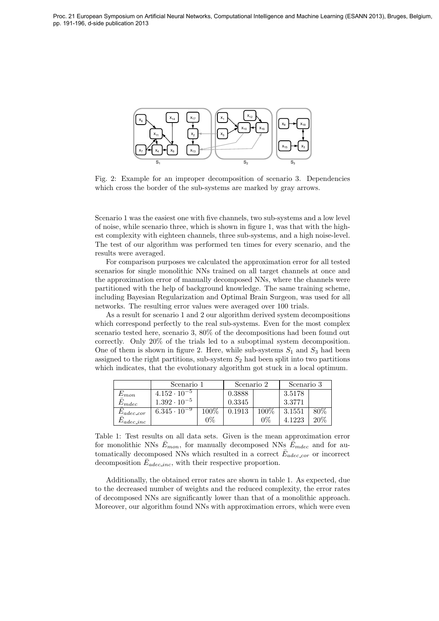

Fig. 2: Example for an improper decomposition of scenario 3. Dependencies which cross the border of the sub-systems are marked by gray arrows.

Scenario 1 was the easiest one with five channels, two sub-systems and a low level of noise, while scenario three, which is shown in figure 1, was that with the highest complexity with eighteen channels, three sub-systems, and a high noise-level. The test of our algorithm was performed ten times for every scenario, and the results were averaged.

For comparison purposes we calculated the approximation error for all tested scenarios for single monolithic NNs trained on all target channels at once and the approximation error of manually decomposed NNs, where the channels were partitioned with the help of background knowledge. The same training scheme, including Bayesian Regularization and Optimal Brain Surgeon, was used for all networks. The resulting error values were averaged over 100 trials.

As a result for scenario 1 and 2 our algorithm derived system decompositions which correspond perfectly to the real sub-systems. Even for the most complex scenario tested here, scenario 3, 80% of the decompositions had been found out correctly. Only 20% of the trials led to a suboptimal system decomposition. One of them is shown in figure 2. Here, while sub-systems  $S_1$  and  $S_3$  had been assigned to the right partitions, sub-system  $S_2$  had been split into two partitions which indicates, that the evolutionary algorithm got stuck in a local optimum.

|                      | Scenario 1            |         | Scenario 2 |         | Scenario 3 |        |
|----------------------|-----------------------|---------|------------|---------|------------|--------|
| $E_{mon}$            | $4.152 \cdot 10^{-5}$ |         | 0.3888     |         | 3.5178     |        |
| $\bar{E}_{mdec}$     | $1.392 \cdot 10^{-5}$ |         | 0.3345     |         | 3.3771     |        |
| $E_{adec\_cor}$      | $6.345 \cdot 10^{-9}$ | $100\%$ | 0.1913     | $100\%$ | 3.1551     | $80\%$ |
| $\omega_{adec\_inc}$ |                       | $0\%$   |            | 0%      | 4.1223     | 20%    |

Table 1: Test results on all data sets. Given is the mean approximation error for monolithic NNs  $\bar{E}_{mon}$ , for manually decomposed NNs  $\bar{E}_{mdec}$  and for automatically decomposed NNs which resulted in a correct  $\bar{E}_{adec\_{cor}}$  or incorrect decomposition  $\bar{E}_{adec\_inc}$ , with their respective proportion.

Additionally, the obtained error rates are shown in table 1. As expected, due to the decreased number of weights and the reduced complexity, the error rates of decomposed NNs are significantly lower than that of a monolithic approach. Moreover, our algorithm found NNs with approximation errors, which were even